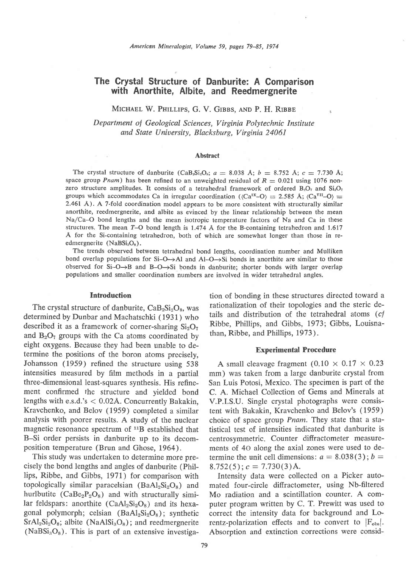# The Grystal Structure of Danburite: A Gomparison with Anorthite, Albite, and Reedmergnerite

MICHAEL W. PHILLIPS, G. V. GIBBS, AND P. H. RIBBE

Department of Geological Sciences, Virginia Polytechnic Institute and State University, Blacksburg, Virginia 24061

#### Abstract

The crystal structure of danburite (CaB<sub>s</sub>Si<sub>2</sub>O<sub>s</sub>;  $a = 8.038$  Å;  $b = 8.752$  Å;  $c = 7.730$  Å; space group Pnam) has been refined to an unweighted residual of  $R = 0.021$  using 1076 nonzero structure amplitudes. It consists of a tetrahedral framework of ordered  $B_2O_7$  and  $Si_2O_7$ groups which accommodates Ca in irregular coordination ( $\langle Ca^{rx}-O \rangle = 2.585 \text{ Å}$ ;  $\langle Ca^{yr}-O \rangle =$ 2.461 A). A 7-fold coordination model appears to be more consistent with structurally similar anorthite, reedmergnerite, and albite as evinced by the linear relationship between the mean Na/Ca-O bond lengths and the mean isotropic temperature factors of Na and Ca in these structures. The mean T-O bond length is 1.474 A for the B-containing tetrahedron and 1.617 A for the Si-containing tetrahedron, both of which are somewhat longer than those in reedmergnerite (NaBSi<sub>3</sub>O<sub>s</sub>).

The trends observed between tetrahedral bond lengths, coordination number and Mulliken bond overlap populations for  $Si-O\rightarrow Al$  and  $Al-O\rightarrow Si$  bonds in anorthite are similar to those observed for  $Si-O \rightarrow B$  and  $B-O \rightarrow Si$  bonds in danburite; shorter bonds with larger overlap populations and smaller coordination numbers are involved in wider tetrahedral angles,

## Introduction

The crystal structure of danburite,  $CaB_2Si_2O_8$ , was determined by Dunbar and Machatschki ( 1931) who described it as a framework of corner-sharing  $Si<sub>2</sub>O<sub>7</sub>$ and  $B_2O_7$  groups with the Ca atoms coordinated by eight oxygens. Because they had been unable to determine the positions of the boron atoms precisely, Johansson (1959) refined the structure using 538 intensities measured by film methods in a partial three-dimensional least-squares synthesis. His refinement confirmed the structure and yielded bond lengths with e.s.d.'s < 0.02A. Concurrently Bakakin, Kravchenko, and Belov (1959) completed a similar analysis with poorer results. A study of the nuclear magnetic resonance spectrum of 118 established that B-Si order persists in danburite up to its decomposition temperature (Brun and Ghose, 1964).

This study was undertaken to determine more precisely the bond lengths and angles of danburite (Phillips, Ribbe, and Gibbs, l97l) for comparison with topologically similar paracelsian (Ba $Al_2Si_2O_8$ ) and hurlbutite  $(CaBe<sub>2</sub>P<sub>2</sub>O<sub>8</sub>)$  and with structurally similar feldspars: anorthite ( $CaAl<sub>2</sub>Si<sub>2</sub>O<sub>8</sub>$ ) and its hexagonal polymorph; celsian  $(BaAl_2Si_2O_8)$ ; synthetic  $SrAl_2Si_2O_8$ ; albite (NaAl $Si_3O_8$ ); and reedmergnerite  $(NaBSi<sub>3</sub>O<sub>8</sub>)$ . This is part of an extensive investigation of bonding in these structures directed toward a rationalization of their topologies and the steric details and distribution of the tetrahedral atoms  $(cf)$ Ribbe, Phillips, and Gibbs, 1973; Gibbs, Louisnathan, Ribbe, and Phillips, 1973).

#### Experimental Procedure

A small cleavage fragment  $(0.10 \times 0.17 \times 0.23)$ mm) was taken from a large danburite crystal from San Luis Potosi, Mexico. The specimen is part of the C. A. Michael Collection of Gems and Minerals at V.P.I.S.U. Single crystal photographs were consistent with Bakakin, Kravchenko and Belov's (1959) choice of space group Pnam. They state that a statistical test of intensities indicated that danburite is centrosymmetric. Counter diffractometer measurements of 40 along the axial zones were used to determine the unit cell dimensions:  $a = 8.038(3)$ ;  $b =$  $8.752(5)$ ;  $c = 7.730(3)$ Å.

Intensity data were collected on a Picker automated four-circle diffractometer, using Nb-filtered Mo radiation and a scintillation counter. A computer program written by C. T. Prewitt was used to correct the intensity data for background and Lorentz-polarization effects and to convert to  $|F_{obs}|$ . Absorption and extinction corrections were consid-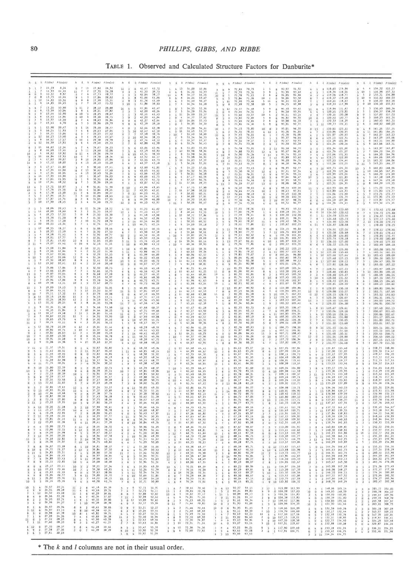# 80 PHILLIPS, GIBBS, AND RIBBE

 $\sim$ 

TABLE 1. Observed and Calculated Structure Factors for Danburite\*

 $*$  The k and l columns are not in their usual order.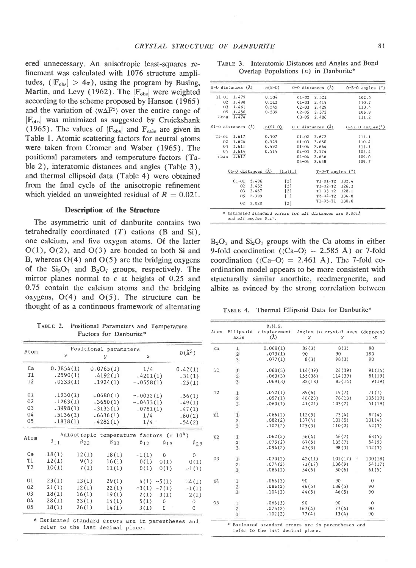ered unnecessary. An anisotropic least-squares refinement was calculated with 1076 structure amplitudes, ( $|F_{obs}| > 4\sigma$ ), using the program by Busing, Martin, and Levy (1962). The  $|F_{obs}|$  were weighted according to the scheme proposed by Hanson ( 1965 ) and the variation of  $\langle w \Delta F^2 \rangle$  over the entire range of  $|F_{obs}|$  was minimized as suggested by Cruickshank (1965). The values of  $|F_{obs}|$  and  $F_{calc}$  are given in Table 1. Atomic scattering factors for neutral atoms were taken from Cromer and Waber (1965). The positional parameters and temperature factors (Table 2), interatomic distances and angles (Table 3), and thermal ellipsoid data (Table 4) were obtained from the final cycle of the anisotropic refinement which yielded an unweighted residual of  $R = 0.021$ .

### Description of the Structure

The asymmetric unit of danburite contains two tetrahedrally coordinated  $(T)$  cations  $(B \text{ and } Si)$ , one calcium, and five oxygen atoms. Of the latter  $O(1)$ ,  $O(2)$ , and  $O(3)$  are bonded to both Si and B, whereas  $O(4)$  and  $O(5)$  are the bridging oxygens of the  $Si<sub>2</sub>O<sub>7</sub>$  and  $B<sub>2</sub>O<sub>7</sub>$  groups, respectively. The mirror planes normal to  $c$  at heights of 0.25 and 0.75 contain the calcium atoms and the bridging oxygens,  $O(4)$  and  $O(5)$ . The structure can be thought of as a continuous framework of alternating

TABLE 2. Positional Parameters and Temperature Factors for Danburite\*

| Atom           | Positional parameters                              |              |            |                                           |               |                |
|----------------|----------------------------------------------------|--------------|------------|-------------------------------------------|---------------|----------------|
|                | $\boldsymbol{x}$                                   |              | y          | $\mathbf{z}$                              |               | $B(\lambda^2)$ |
| Ca             | 0.3854(1)                                          |              | 0.0765(1)  | 1/4                                       |               | 0.42(1)        |
| T1             | .2590(1)                                           |              | .4192(1)   | .4201(1)                                  |               | .31(1)         |
| T <sub>2</sub> | .0533(1)                                           |              | .1924(1)   | $-.0558(1)$                               |               | .25(1)         |
| 01             | .1930(1)                                           |              | .0680(1)   | $-.0032(1)$                               |               | .56(1)         |
| 02             | .1263(1)                                           |              | .3650(1)   | $-.0433(1)$                               |               | .49(1)         |
| 03             | .3998(1)                                           |              | .3135(1)   | .0781(1)                                  |               | .47(1)         |
| 04             | .5136(1)                                           |              | .6636(1)   | 1/4                                       |               | .60(2)         |
| 05             | .1838(1)                                           |              | .4282(1)   | 1/4                                       |               | .54(2)         |
| Atom           |                                                    |              |            | Anisotropic temperature factors $(x 104)$ |               |                |
|                | $\beta_{11}$                                       | $\beta_{22}$ | $\beta$ 33 | $\beta_{12}$                              | $\beta_{13}$  | $\beta_{23}$   |
| Ca             | 18(1)                                              | 12(1)        | 18(1)      | $-1(1)$                                   | 0             | $\mathbf{0}$   |
| T1             | 12(1)                                              | 9(1)         | 16(1)      | 0(1)                                      | 0(1)          | 0(1)           |
| T <sub>2</sub> | 10(1)                                              | 7(1)         | 11(1)      | 0(1)                                      | 0(1)          | $-1(1)$        |
| 01             | 23(1)                                              | 13(1)        | 29(1)      |                                           | $4(1) -5(1)$  | $-4(1)$        |
| 02             | 21(1)                                              | 12(1)        | 22(1)      |                                           | $-3(1) -7(1)$ | $-1(1)$        |
| 03             | 18(1)                                              | 16(1)        | 19(1)      |                                           | 2(1) 3(1)     | 2(1)           |
| 04             | 28(1)                                              | 23(1)        | 14(1)      | 5(1)                                      | $\mathbf{0}$  | 0              |
| 05             | 18(1)                                              | 26(1)        | 14(1)      | 3(1)                                      | $\Omega$      | 0              |
|                | * Estimated standard errors are in parentheses and |              |            |                                           |               |                |

refer to the Iast decimal pLace.

| B-O distances (Å)  |                        |       | $n(B-0)$  |           | $0-0$ distances $(A)$ | $0 - B - 0$ angles $(°)$      |
|--------------------|------------------------|-------|-----------|-----------|-----------------------|-------------------------------|
| $T1-01$            | 1,479                  |       | 0.534     | $01 - 02$ | 2.321                 | 102.5                         |
| O <sub>2</sub>     | 1.498                  |       | 0.513     | $01 - 03$ | 2.419                 | 110.7                         |
| 03                 | 1.461                  |       | 0.545     |           | $02 - 03$ 2.429       | 110.4                         |
| 05                 | 1.456                  |       | 0.539     | $02 - 05$ | 2.372                 | 106.9                         |
| liean              | 1.474                  |       |           | $03 - 05$ | 2.406                 | 111.2                         |
| Si-O distances (Å) |                        |       | $n(Si-0)$ |           | $0-0$ distances $(A)$ | $0-Si-0$ angles( $^{\circ}$ ) |
| $T2 - 01$          | 1,617                  |       | 0.507     | $01 - 02$ | 2.672                 | 111.1                         |
| 02                 | 1.624                  |       | 0.549     | $01 - 03$ | 2.650                 | 110.4                         |
| 03                 | 1.611                  |       | 0.492     |           | $01 - 04$ 2.664       | 111.1                         |
| 04                 | 1.614                  |       | 0.514     |           | $02 - 03$ 2.574       | 105.4                         |
| ilean              | 1.617                  |       |           | $02 - 04$ | 2.636                 | 109.0                         |
|                    |                        |       |           | $03 - 04$ | 2.638                 | 109.7                         |
|                    | $Ca-O$ distances $(A)$ |       |           | [Mult.]   | $T-O-T$ angles $(°)$  |                               |
|                    | $Ca-01$                | 2.496 |           | $[2]$     | $T1 - 01 - T2$        | 132.4                         |
|                    | 02                     | 2.452 |           | [2]       | $T1 - 02 - T2$        | 126.3                         |
|                    | 03                     | 2.467 |           | $[2]$     | $T1 - 03 - T2$        | 128.1                         |
|                    | 05                     | 2.399 |           | $[1]$     | $T2 - 04 - T2$ 136.8  |                               |
|                    | 02                     | 3,020 |           | [2]       | $T1 - 05 - T1$        | 130.6                         |

and all angles 0.1°.

 $B_2O_7$  and  $Si_2O_7$  groups with the Ca atoms in either 9-fold coordination ( $\langle Ca-O \rangle = 2.585$  Å) or 7-fold coordination ( $\langle Ca-O \rangle = 2.461$  Å). The 7-fold coordination model appears to be more consistent with structurally similar anorthite, reedmergnerite, and albite as evinced by the strong correlation between

TABLE 4. Thermal Ellipsoid Data for Danburite\*

| Atom           | Ellipsoid<br>axis                          | R.M.S.<br>displacement<br>(A) | X       | Angles to crystal axes (degrees)<br>Υ | $-Z$     |
|----------------|--------------------------------------------|-------------------------------|---------|---------------------------------------|----------|
| Ca             |                                            | 0.068(1)                      | 82(3)   | 8(3)                                  | 90       |
|                | $\frac{1}{2}$                              | .073(1)                       | 90      | 90                                    | 180      |
|                |                                            | .077(1)                       | 8(3)    | 98(3)                                 | 90       |
| T1             | $\begin{array}{c} 1 \\ 2 \\ 3 \end{array}$ | .060(3)                       | 114(39) | 24(39)                                | 91(14)   |
|                |                                            | .063(3)                       | 155(38) | 114(39)                               | 81(19)   |
|                |                                            | .069(3)                       | 82(18)  | 85(14)                                | 9(19)    |
| T <sub>2</sub> |                                            | .052(1)                       | 89(6)   | 19(7)                                 | 71(7)    |
|                | $\begin{array}{c} 1 \\ 2 \\ 3 \end{array}$ | .057(1)                       | 48(23)  | 76(13)                                | 135(19)  |
|                |                                            | .060(1)                       | 41(21)  | 103(7)                                | 51(19)   |
| 01             | $\frac{1}{2}$                              | .066(2)                       | 112(5)  | 23(4)                                 | 82(4)    |
|                |                                            | .082(2)                       | 137(4)  | 101(5)                                | 131(4)   |
|                |                                            | .102(2)                       | 125(3)  | 110(2)                                | 42(3)    |
| O2             | $\begin{array}{c} 1 \\ 2 \\ 3 \end{array}$ | .062(2)                       | 56(4)   | 46(7)                                 | 63(5)    |
|                |                                            | .075(2)                       | 67(5)   | 135(7)                                | 54(5)    |
|                |                                            | .094(2)                       | 43(3)   | 98(3)                                 | 132(3)   |
| 03             | $\begin{array}{c} 1 \\ 2 \\ 3 \end{array}$ | .070(2)                       | 42(11)  | 101(17)                               | 130(18)  |
|                |                                            | .074(2)                       | 71(17)  | 138(9)                                | 54(17)   |
|                |                                            | .086(2)                       | 54(5)   | 50(6)                                 | 61(5)    |
| 04             | 1                                          | .066(3)                       | 90      | 90                                    | $\theta$ |
|                | $\overline{2}$                             | .086(2)                       | 46(5)   | 136(5)                                | 90       |
|                | $\overline{3}$                             | .104(2)                       | 44(5)   | 46(5)                                 | 90       |
| 05             |                                            | .066(3)                       | 90      | 90                                    | $\theta$ |
|                | $\frac{1}{2}$                              | .076(2)                       | 167(4)  | 77(4)                                 | 90       |
|                |                                            | .102(2)                       | 77(4)   | 13(4)                                 | 90       |

TABLE 3. Interatomic Distances and Angles and Bond Overlap Populations  $(n)$  in Danburite\*

refer to the last decimal place.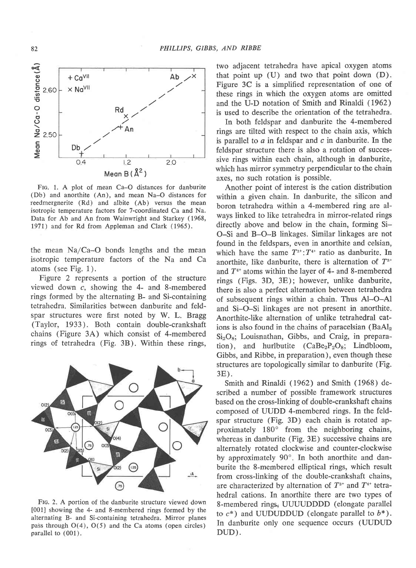

FIG. 1. A plot of mean Ca-O distances for danburite (Db) and anorthite (An), and mean Na-O distances for reedmergnerite (Rd) and albite (Ab) versus the mean isotropic temperature factors for 7-coordinated Ca and Na. Data for Ab and An from Wainwright and Starkey (1968, 1971) and for Rd from Appleman and Clark (1965).

the mean  $Na/Ca-O$  bonds lengths and the mean isotropic temperature factors of the Na and Ca atoms (see Fig. 1 ).

Figure 2 represents a portion of the structure viewed down c, showing the 4- and 8-membered rings formed by the alternating B- and Si-containing tetrahedra. Similarities between danburite and feldspar structures were first noted by W. L. Bragg (Taylor, 1933 ). Both contain double-crankshaft chains (Figure 3A) which consist of 4-membered rings of tetrahedra (Fig. 3B). Within these rings,



FIG. 2. A portion of the danburite structure viewed down [001] showing the 4- and 8-membered rings formed by the alternating B- and Si-containing tetrahedra. Mirror planes pass through  $O(4)$ ,  $O(5)$  and the Ca atoms (open circles) parallel to (001).

two adjacent tetrahedra have apical oxygen atoms that point up  $(U)$  and two that point down  $(D)$ . Figure 3C is a simplified representation of one of these rings in which the oxygen atoms are omitted and the U-D notation of Smith and Rinaldi (1962) is used to describe the orientation of the tetrahedra.

In both feldspar and danburite the 4-membered rings are tilted with respect to the chain axis, which is parallel to  $a$  in feldspar and  $c$  in danburite. In the feldspar structure there is also a rotation of successive rings within each chain, although in danburite, which has mirror symmetry perpendicular to the chain axes, no such rotation is possible.

Another point of interest is the cation distribution within a given chain. In danburite, the silicon and boron tetrahedra within a 4-membered ring are always linked to like tetrahedra in mirror-related rings directly above and below in the chain, forming Si-O-Si and B-O-B linkages. Similar linkages are not found in the feldspars, even in anorthite and celsian, which have the same  $T^{3+}:T^{4+}$  ratio as danburite. In anorthite, like danburite, there is alternation of  $T^{3+}$ and  $T^{4+}$  atoms within the layer of 4- and 8-membered rings (Figs. 3D, 3E); however, unlike danburite, there is also a perfect alternation between tetrahedra of subsequent rings within a chain. Thus Al-O-Al and Si-O-Si linkages are not present in anorthite. Anorthite-like alternation of unlike tetrahedral cations is also found in the chains of paracelsian  $(BaAl<sub>2</sub>)$  $Si<sub>2</sub>O<sub>8</sub>$ ; Louisnathan, Gibbs, and Craig, in preparation), and hurlbutite  $(CaBe<sub>2</sub>P<sub>2</sub>O<sub>8</sub>; Lindbloom,$ Gibbs, and Ribbe, in preparation), even though these structures are topologically similar to danburite (Fig. 3E).

Smith and Rinaldi (1962) and Smith (1968) described a number of possible framework structures based on the cross-linking of double-crankshaft chains composed of UUDD 4-membered rings. In the feldspar structure (Fig. 3D) each chain is rotated approximately 180' from the neighboring chains, whereas in danburite (Fig. 3E) successive chains are altemately rotated clockwise and counter-clockwise by approximately 90'. In both anorthite and danburite the 8-membered elliptical rings, which result from cross-linking of the double-crankshaft chains, are characterized by alternation of  $T^{3+}$  and  $T^{4+}$  tetrahedral cations. In anorthite there are two types of 8-membered rings, UUUUDDDD (elongate parallel to  $c^*$ ) and UUDUDDUD (elongate parallel to  $b^*$ ). In danburite only one sequence occurs (UUDUD DUD).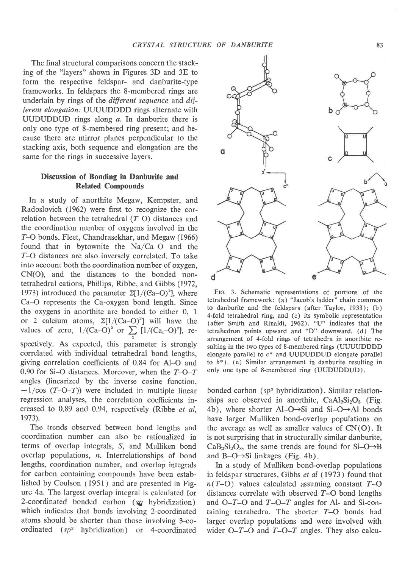The final structural comparisons concern the stacking of the "layers" shown in Figures 3D and 3E to form the respective feldspar- and danburite-type frameworks. In feldspars the S-membered rings are underlain by rings of the different sequence and different elongation: UUUUDDDD rings alternate with UUDUDDUD rings along a. In danburite there is only one type of 8-membered ring present; and because there are mirror planes perpendicular to the stacking axis, both sequence and elongation are the same for the rings in successive layers.

# Discussion of Bonding in Danburite and Related Compounds

In a study of anorthite Megaw, Kempster, and Radoslovich (1962) were first to recognize the correlation between the tetrahedral (7-O) distances and the coordination number of oxygens involved in the Z-O bonds. Fleet, Chandrasekhar, and Megaw (1966) found that in bytownite the Na/Ca-O and the Z-O distances are also inversely correlated. To take into account both the coordination number of oxygen, CN(O), and the distances to the bonded nontetrahedral cations, Phillips, Ribbe, and Gibbs (1972, 1973) introduced the parameter  $\Sigma[1/(Ca-O)^2]$ , where Ca-O represents the Ca-oxygen bond length. Since the oxygens in anorthite are bonded to either 0, I or 2 calcium atoms,  $\Sigma[1/(\text{Ca}-\text{O})^2]$  will have the values of zero,  $1/(Ca-O)^2$  or  $\sum [1/(Ca,-O)^2]$ , respectively. As expected, this parameter is strongly correlated with individual tetrahedral bond lengths, giving correlation coefficients of 0.84 for Al-O and 0.90 for Si-O distances. Moreover, when the  $T$ -O-T

angles (linearized by the inverse cosine function,  $-1/\cos(T-O-T)$  were included in multiple linear regression analyses, the correlation coefficients increased to 0.89 and 0.94, respectively (Ribbe et al, 1973).

The trends observed between bond lengths and coordination number can also be rationalized in terms of overlap integrals, S, and Mulliken bond overlap populations, n. lnterrelationships of bond lengths, coordination number, and overlap integrals for carbon containing compounds have been established by Coulson (1951) and are presented in Figure 4a. The largest overlap integral is calculated for 2-coordinated bonded carbon  $(s\mathbf{z})$  hybridization) which indicates that bonds involving 2-coordinated atoms should be shorter than those involving 3-coordinated  $(sp<sup>2</sup>$  hybridization) or 4-coordinated



FIG. 3. Schematic representations of portions of the tetrahedral framework: (a) "Jacob's ladder" chain common to danburite and the feldspars (after Taylor, 1933); (b) 4-fold tetrahedral ring, and (c) its symbolic representation (after Smith and Rinaldi, 1962). "U" indicates that the tetrahedron points upward and "D" downward. (d) The arrangement of 4-fold rings of tetrahedra in anorthite resulting in the two types of 8-membered rings (UUUUDDDD elongate parallel to  $c^*$  and UUDUDDUD elongate parallel to  $b^*$ ). (e) Similar arrangement in danburite resulting in only one type of 8-membered ring (UUDUDDUD).

bonded carbon ( $sp^3$  hybridization). Similar relationships are observed in anorthite,  $CaAl<sub>2</sub>Si<sub>2</sub>O<sub>8</sub>$  (Fig. 4b), where shorter Al-O $\rightarrow$ Si and Si-O $\rightarrow$ Al bonds have larger Mulliken bond-overlap populations on the average as well as smaller values of  $CN(O)$ . It is not surprising that in structurally similar danburite,  $CaB<sub>2</sub>Si<sub>2</sub>O<sub>8</sub>$ , the same trends are found for Si-O $\rightarrow$ B and B-O $\rightarrow$ Si linkages (Fig. 4b).

In a study of Mulliken bond-overlap populations in feldspar structures, Gibbs et al (1973) found that  $n(T-O)$  values calculated assuming constant  $T-O$ distances correlate with observed  $T$ -O bond lengths and  $O-T-O$  and  $T-O-T$  angles for Al- and Si-containing tetrahedra. The shorter  $T-O$  bonds had larger overlap populations and were involved with wider  $O-T-O$  and  $T-O-T$  angles. They also calcu-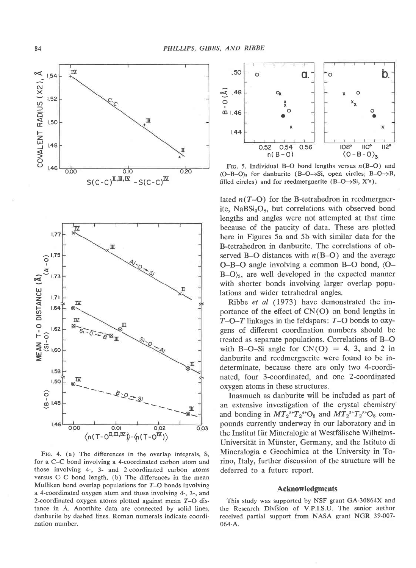

FIG. 4. (a) The differences in the overlap integrals, S, for a C-C bond involving a 4-coordinated carbon atom and those involving 4-, 3- and 2-coordinated carbon atoms versus C-C bond length. (b) The differences in the mean Mulliken bond overlap populations for  $T-O$  bonds involving a 4-coordinated oxygen atom and those involving 4-,3-, and 2-coordinated oxygen atoms plotted against mean 7-O distance in A. Anorthite data are connected by solid lines, danburite by dashed lines. Roman numerals indicate coordination number.



FIG. 5. Individual B-O bond lengths versus  $n(B-O)$  and  $(O-B-O)$  for danburite  $(B-O \rightarrow Si, \text{ open circles}; B-O \rightarrow B,$ filled circles) and for reedmergnerite  $(B-O\rightarrow Si, X's)$ .

lated  $n(T-O)$  for the B-tetrahedron in reedmergnerite, NaBSi<sub>3</sub>O<sub>8</sub>, but correlations with observed bond Iengths and angles were not attempted at that time because of the paucity of data. These are plotted here in Figures 5a and 5b with similar data for the B-tetrahedron in danburite. The correlations of observed B-O distances with  $n(B-O)$  and the average  $O-B-O$  angle involving a common B-O bond,  $\overline{O} B-O$ <sub>3</sub>, are well developed in the expected manner with shorter bonds involving larger overlap populations and wider tetrahedral angles.

Ribbe et al (1973) have demonstrated the importance of the effect of CN(O) on bond lengths in  $T-O-T$  linkages in the feldspars:  $T-O$  bonds to  $oxy$ gens of different coordination numbers should be treated as separate populations. Correlations of B-O with B-O-Si angle for  $CN(O) = 4, 3, and 2$  in danburite and reedmergnerite were found to be indeterminate, because there are only two 4-coordinated, four 3-coordinated, and one 2-coordinated oxygen atoms in these structures.

Inasmuch as danburite will be included as part of an extensive investigation of the crystal chemistry and bonding in  $MT_2^{3+}T_2^{4+}O_8$  and  $MT_2^{2+}T_2^{5+}O_8$  compounds currently underway in our laboratory and in the Institut für Mineralogie at Westfälische Wilhelms-Universität in Münster, Germany, and the Istituto di Mineralogia e Geochimica at the University in Torino, Italy, further discussion of the structure will be deferred to a future report.

## Acknowledgments

This study was supported by NSF grant GA-30864X and the Research Division of V.P.I.S.U. The senior author received partial support from NASA grant NGR 39-007-  $064-A.$